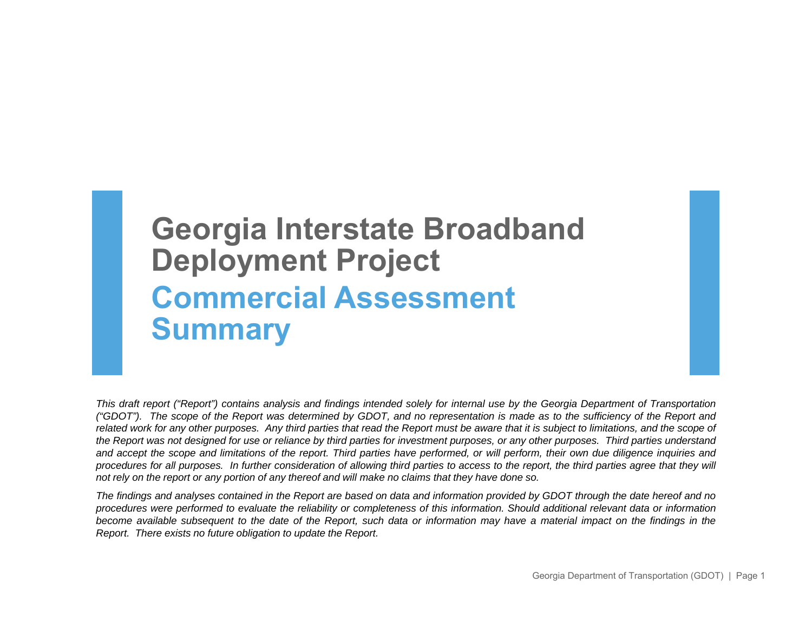# **Georgia Interstate Broadband Deployment Project Commercial Assessment Summary**

This draft report ("Report") contains analysis and findings intended solely for internal use by the Georgia Department of Transportation ("GDOT"). The scope of the Report was determined by GDOT, and no representation is made as to the sufficiency of the Report and related work for any other purposes. Any third parties that read the Report must be aware that it is subject to limitations, and the scope of the Report was not designed for use or reliance by third parties for investment purposes, or any other purposes. Third parties understand and accept the scope and limitations of the report. Third parties have performed, or will perform, their own due diligence inquiries and procedures for all purposes. In further consideration of allowing third parties to access to the report, the third parties agree that they will not rely on the report or any portion of any thereof and will make no claims that they have done so.

The findings and analyses contained in the Report are based on data and information provided by GDOT through the date hereof and no procedures were performed to evaluate the reliability or completeness of this information. Should additional relevant data or information become available subsequent to the date of the Report, such data or information may have a material impact on the findings in the *Report. There exists no future obligation to update the Report.*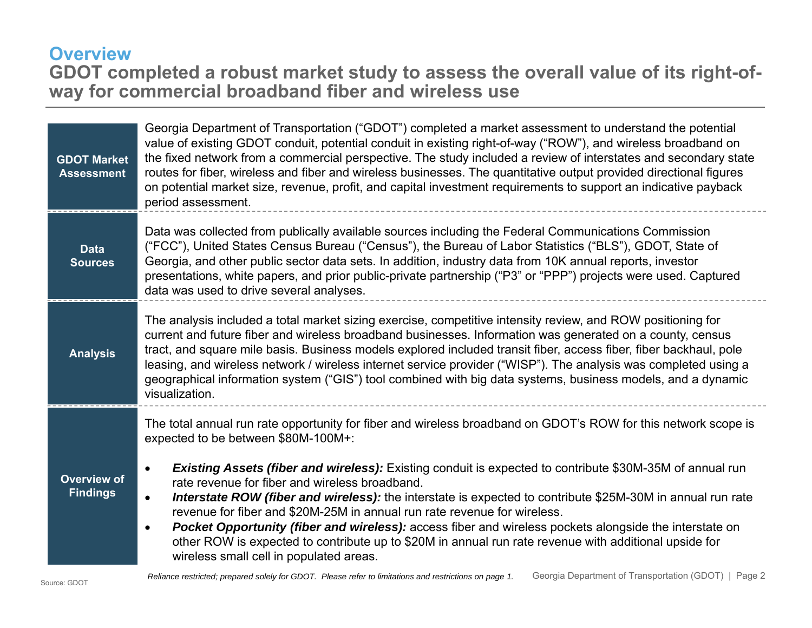## **Overview GDOT completed a robust market study to assess the overall value of its right-ofway for commercial broadband fiber and wireless use**

| <b>GDOT Market</b><br><b>Assessment</b> | Georgia Department of Transportation ("GDOT") completed a market assessment to understand the potential<br>value of existing GDOT conduit, potential conduit in existing right-of-way ("ROW"), and wireless broadband on<br>the fixed network from a commercial perspective. The study included a review of interstates and secondary state<br>routes for fiber, wireless and fiber and wireless businesses. The quantitative output provided directional figures<br>on potential market size, revenue, profit, and capital investment requirements to support an indicative payback<br>period assessment.                                                                                                                                                                                                                |
|-----------------------------------------|---------------------------------------------------------------------------------------------------------------------------------------------------------------------------------------------------------------------------------------------------------------------------------------------------------------------------------------------------------------------------------------------------------------------------------------------------------------------------------------------------------------------------------------------------------------------------------------------------------------------------------------------------------------------------------------------------------------------------------------------------------------------------------------------------------------------------|
| <b>Data</b><br><b>Sources</b>           | Data was collected from publically available sources including the Federal Communications Commission<br>("FCC"), United States Census Bureau ("Census"), the Bureau of Labor Statistics ("BLS"), GDOT, State of<br>Georgia, and other public sector data sets. In addition, industry data from 10K annual reports, investor<br>presentations, white papers, and prior public-private partnership ("P3" or "PPP") projects were used. Captured<br>data was used to drive several analyses.                                                                                                                                                                                                                                                                                                                                 |
| <b>Analysis</b>                         | The analysis included a total market sizing exercise, competitive intensity review, and ROW positioning for<br>current and future fiber and wireless broadband businesses. Information was generated on a county, census<br>tract, and square mile basis. Business models explored included transit fiber, access fiber, fiber backhaul, pole<br>leasing, and wireless network / wireless internet service provider ("WISP"). The analysis was completed using a<br>geographical information system ("GIS") tool combined with big data systems, business models, and a dynamic<br>visualization.                                                                                                                                                                                                                         |
| <b>Overview of</b><br><b>Findings</b>   | The total annual run rate opportunity for fiber and wireless broadband on GDOT's ROW for this network scope is<br>expected to be between \$80M-100M+:<br>Existing Assets (fiber and wireless): Existing conduit is expected to contribute \$30M-35M of annual run<br>$\bullet$<br>rate revenue for fiber and wireless broadband.<br>Interstate ROW (fiber and wireless): the interstate is expected to contribute \$25M-30M in annual run rate<br>$\bullet$<br>revenue for fiber and \$20M-25M in annual run rate revenue for wireless.<br><b>Pocket Opportunity (fiber and wireless):</b> access fiber and wireless pockets alongside the interstate on<br>$\bullet$<br>other ROW is expected to contribute up to \$20M in annual run rate revenue with additional upside for<br>wireless small cell in populated areas. |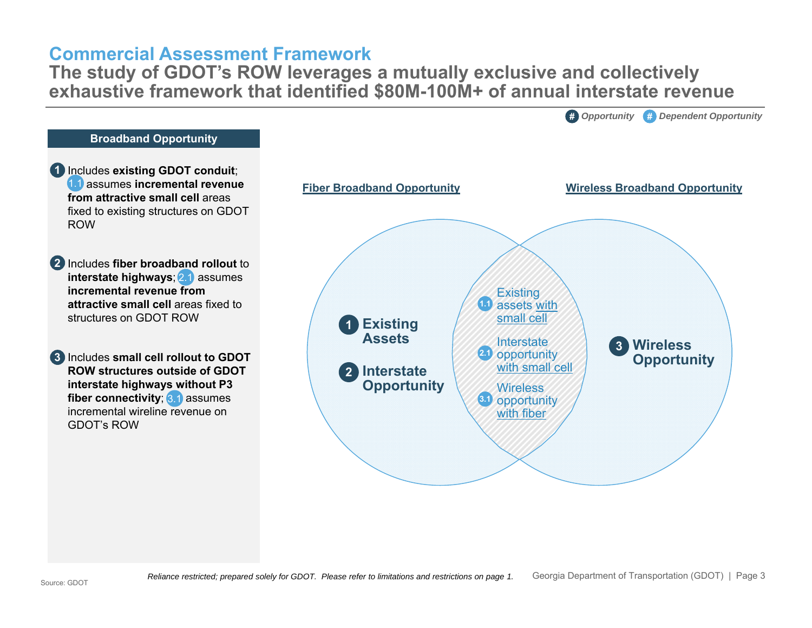#### **Commercial Assessment Framework**

 **The study of GDOT's ROW leverages a mutually exclusive and collectively exhaustive framework that identified \$80M-100M+ of annual interstate revenue**

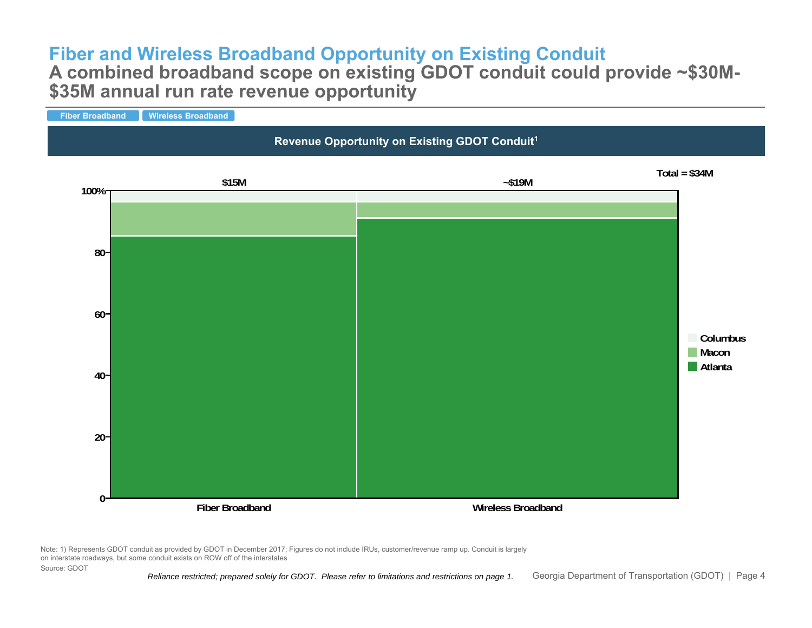# **Fiber and Wireless Broadband Opportunity on Existing Conduit**

#### **A combined broadband scope on existing GDOT conduit could provide ~\$30M- \$35M annual run rate revenue opportunity**



Note: 1) Represents GDOT conduit as provided by GDOT in December 2017; Figures do not include IRUs, customer/revenue ramp up. Conduit is largely on interstate roadways, but some conduit exists on ROW off of the interstates Source: GDOT

*Reliance restricted; prepared solely for GDOT. Please refer to limitations and restrictions on page 1.* Georgia Department of Transportation (GDOT) | Page 4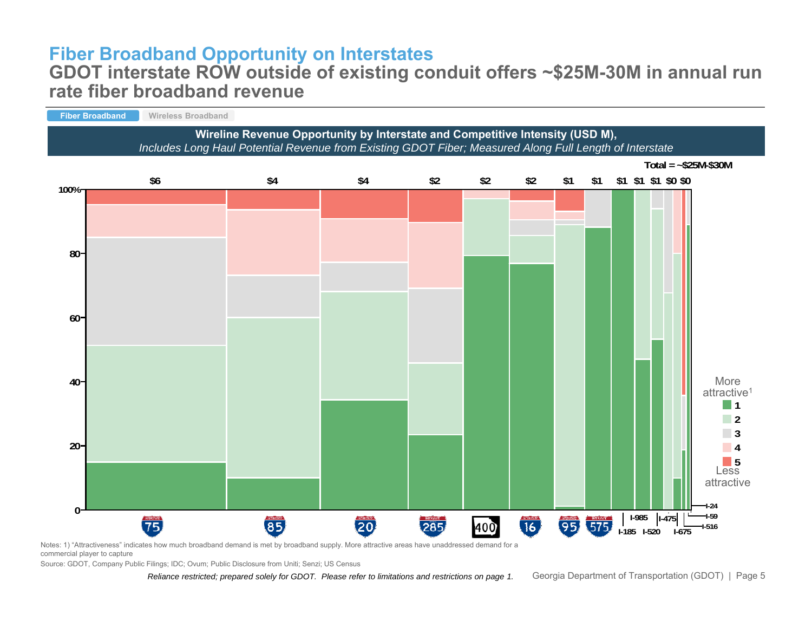# **Fiber Broadband Opportunity on Interstates**

#### **GDOT interstate ROW outside of existing conduit offers ~\$25M-30M in annual run rate fiber broadband revenue**



Notes: 1) "Attractiveness" indicates how much broadband demand is met by broadband supply. More attractive areas have unaddressed demand for a

commercial player to capture

Source: GDOT, Company Public Filings; IDC; Ovum; Public Disclosure from Uniti; Senzi; US Census

*Reliance restricted; prepared solely for GDOT. Please refer to limitations and restrictions on page 1.* Georgia Department of Transportation (GDOT) | Page 5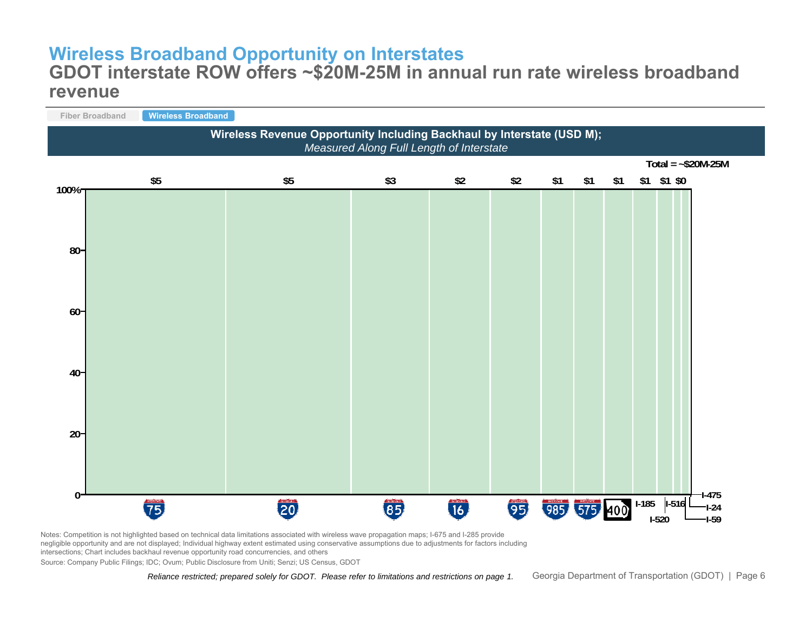# **Wireless Broadband Opportunity on Interstates**

#### **GDOT interstate ROW offers ~\$20M-25M in annual run rate wireless broadband revenue**



Notes: Competition is not highlighted based on technical data limitations associated with wireless wave propagation maps; I-675 and I-285 provide negligible opportunity and are not displayed; Individual highway extent estimated using conservative assumptions due to adjustments for factors including intersections; Chart includes backhaul revenue opportunity road concurrencies, and others

Source: Company Public Filings; IDC; Ovum; Public Disclosure from Uniti; Senzi; US Census, GDOT

*Reliance restricted; prepared solely for GDOT. Please refer to limitations and restrictions on page 1.* Georgia Department of Transportation (GDOT) | Page 6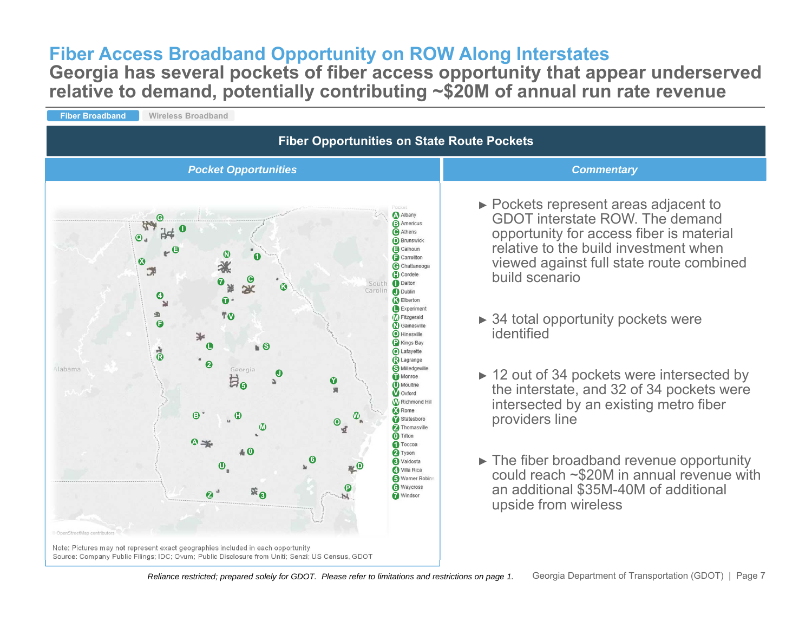# **Fiber Access Broadband Opportunity on ROW Along Interstates**

**Georgia has several pockets of fiber access opportunity that appear underserved relative to demand, potentially contributing ~\$20M of annual run rate revenue**

**Fiber Broadband Wireless Broadband Fiber Opportunities on State Route Pockets** *Pocket Opportunities Commentary*► Pockets represent areas adjacent to Albany GDOT interstate ROW. The demand **G B**opportunity for access fiber is material **CQ D**relative to the build investment when **EEN F1**viewed against full state route combined **X G**プ **H**build scenario**C**South Dalton **7K J**Carolin **4 KT**ы **L** $\Delta$ **V M**► 34 total opportunity pockets were  $\theta$  **N**identified**O P** Kings Bay **SL** $\mathbf{b}$ **Q** Lafayette **R R** Lagrange **2S** Milledgeville Alabama Georgia **J**► 12 out of 34 pockets were intersected by **T5Y U**the interstate, and 32 of 34 pockets were **V W**intersected by an existing metro fiber Rome **W <sup>X</sup> B H** Statesboro providers line **OM Z 0A 10 2**► The fiber broadband revenue opportunity **36 U D 4**could reach ~\$20M in annual revenue with **5**an additional \$35M-40M of additional **6**<sup>*Waycross*</sup> **P 7Z 3** upside from wireless

Note: Pictures may not represent exact geographies included in each opportunity Source: Company Public Filings; IDC; Ovum; Public Disclosure from Uniti; Senzi; US Census, GDOT